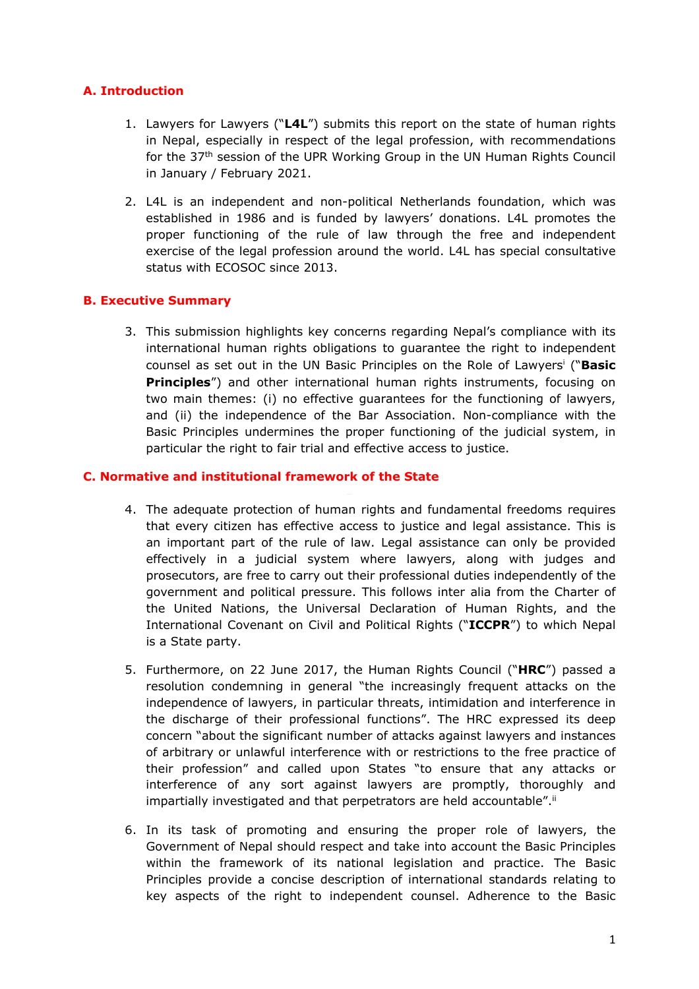# **A. Introduction**

- 1. Lawyers for Lawyers ("**L4L**") submits this report on the state of human rights in Nepal, especially in respect of the legal profession, with recommendations for the 37<sup>th</sup> session of the UPR Working Group in the UN Human Rights Council in January / February 2021.
- 2. L4L is an independent and non-political Netherlands foundation, which was established in 1986 and is funded by lawyers' donations. L4L promotes the proper functioning of the rule of law through the free and independent exercise of the legal profession around the world. L4L has special consultative status with ECOSOC since 2013.

### **B. Executive Summary**

3. This submission highlights key concerns regarding Nepal'<sup>s</sup> compliance with its international human rights obligations to guarantee the right to independent counsel as set out in the UN Basic Principles on the Role of Lawyers i ("**Basic Principles**") and other international human rights instruments, focusing on two main themes: (i) no effective guarantees for the functioning of lawyers, and (ii) the independence of the Bar Association. Non-compliance with the Basic Principles undermines the proper functioning of the judicial system, in particular the right to fair trial and effective access to justice.

### **C. Normative and institutional framework of the State**

- 4. The adequate protection of human rights and fundamental freedoms requires that every citizen has effective access to justice and legal assistance. This is an important part of the rule of law. Legal assistance can only be provided effectively in <sup>a</sup> judicial system where lawyers, along with judges and prosecutors, are free to carry out their professional duties independently of the government and political pressure. This follows inter alia from the Charter of the United Nations, the Universal Declaration of Human Rights, and the International Covenant on Civil and Political Rights ("**ICCPR**") to which Nepal is <sup>a</sup> State party.
- 5. Furthermore, on 22 June 2017, the Human Rights Council ("**HRC**") passed <sup>a</sup> resolution condemning in general "the increasingly frequent attacks on the independence of lawyers, in particular threats, intimidation and interference in the discharge of their professional functions". The HRC expressed its deep concern "about the significant number of attacks against lawyers and instances of arbitrary or unlawful interference with or restrictions to the free practice of their profession" and called upon States "to ensure that any attacks or interference of any sort against lawyers are promptly, thoroughly and impartially investigated and that perpetrators are held accountable"."
- 6. In its task of promoting and ensuring the proper role of lawyers, the Government of Nepal should respect and take into account the Basic Principles within the framework of its national legislation and practice. The Basic Principles provide <sup>a</sup> concise description of international standards relating to key aspects of the right to independent counsel. Adherence to the Basic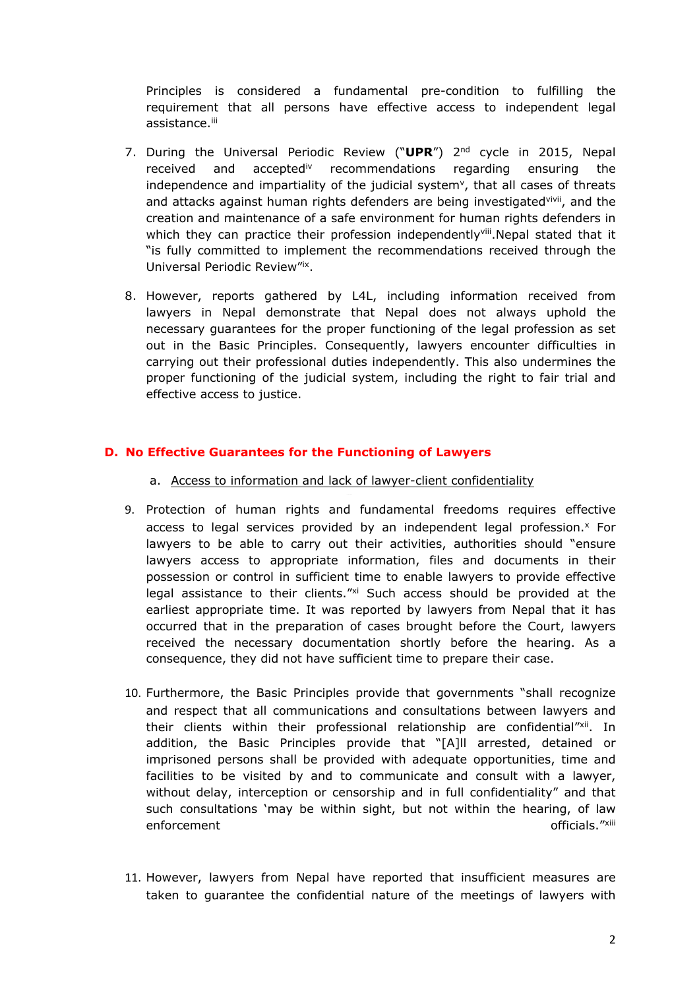Principles is considered <sup>a</sup> fundamental pre-condition to fulfilling the requirement that all persons have effective access to independent legal assistance.<sup>iii</sup>

- 7. During the Universal Periodic Review ("**UPR**") 2nd cycle in 2015, Nepal received and acceptediv recommendations regarding ensuring the independence and impartiality of the judicial system<sup>v</sup>, that all cases of threats and attacks against human rights defenders are being investigated<sup>vivii</sup>, and the creation and maintenance of <sup>a</sup> safe environment for human rights defenders in which they can practice their profession independently<sup>viii</sup>.Nepal stated that it "is fully committed to implement the recommendations received through the Universal Periodic Review"ix .
- 8. However, reports gathered by L4L, including information received from lawyers in Nepal demonstrate that Nepal does not always uphold the necessary guarantees for the proper functioning of the legal profession as set out in the Basic Principles. Consequently, lawyers encounter difficulties in carrying out their professional duties independently. This also undermines the proper functioning of the judicial system, including the right to fair trial and effective access to justice.

### **D. No Effective Guarantees for the Functioning of Lawyers**

- a. Access to information and lack of lawyer-client confidentiality
- 9. Protection of human rights and fundamental freedoms requires effective access to legal services provided by an independent legal profession.<sup>x</sup> For lawyers to be able to carry out their activities, authorities should "ensure lawyers access to appropriate information, files and documents in their possession or control in sufficient time to enable lawyers to provide effective legal assistance to their clients."xi Such access should be provided at the earliest appropriate time. It was reported by lawyers from Nepal that it has occurred that in the preparation of cases brought before the Court, lawyers received the necessary documentation shortly before the hearing. As <sup>a</sup> consequence, they did not have sufficient time to prepare their case.
- 10. Furthermore, the Basic Principles provide that governments "shall recognize and respect that all communications and consultations between lawyers and their clients within their professional relationship are confidential"<sup>xii</sup>. In addition, the Basic Principles provide that "[A]ll arrested, detained or imprisoned persons shall be provided with adequate opportunities, time and facilities to be visited by and to communicate and consult with <sup>a</sup> lawyer, without delay, interception or censorship and in full confidentiality" and that such consultations 'may be within sight, but not within the hearing, of law enforcement of the state of the state of the state of the state of the state of the state of the state of the state of the state of the state of the state of the state of the state of the state of the state of the state of
- 11. However, lawyers from Nepal have reported that insufficient measures are taken to guarantee the confidential nature of the meetings of lawyers with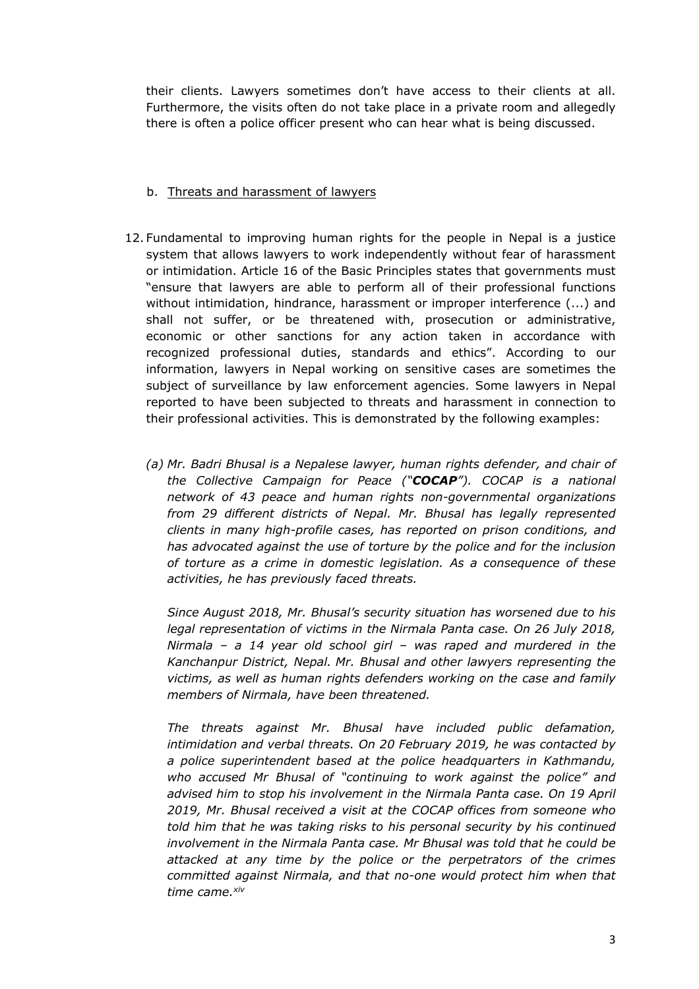their clients. Lawyers sometimes don't have access to their clients at all. Furthermore, the visits often do not take place in <sup>a</sup> private room and allegedly there is often <sup>a</sup> police officer present who can hear what is being discussed.

## b. Threats and harassment of lawyers

- 12. Fundamental to improving human rights for the people in Nepal is <sup>a</sup> justice system that allows lawyers to work independently without fear of harassment or intimidation. Article 16 of the Basic Principles states that governments must "ensure that lawyers are able to perform all of their professional functions without intimidation, hindrance, harassment or improper interference (...) and shall not suffer, or be threatened with, prosecution or administrative, economic or other sanctions for any action taken in accordance with recognized professional duties, standards and ethics". According to our information, lawyers in Nepal working on sensitive cases are sometimes the subject of surveillance by law enforcement agencies. Some lawyers in Nepal reported to have been subjected to threats and harassment in connection to their professional activities. This is demonstrated by the following examples:
	- CONCEPT *network of 43 peace and human rights non-governmental organizations (a) Mr. Badri Bhusal is <sup>a</sup> Nepalese lawyer, human rights defender, and chair of the Collective Campaign for Peace ("COCAP"). COCAP is <sup>a</sup> national from 29 different districts of Nepal. Mr. Bhusal has legally represented clients in many high-profile cases, has reported on prison conditions, and has advocated against the use of torture by the police and for the inclusion of torture as <sup>a</sup> crime in domestic legislation. As <sup>a</sup> consequence of these activities, he has previously faced threats.*

*Since August 2018, Mr. Bhusal'<sup>s</sup> security situation has worsened due to his legal representation of victims in the Nirmala Panta case. On 26 July 2018, Nirmala – <sup>a</sup> 14 year old school girl – was raped and murdered in the Kanchanpur District, Nepal. Mr. Bhusal and other lawyers representing the victims, as well as human rights defenders working on the case and family members of Nirmala, have been threatened.*

*The threats against Mr. Bhusal have included public defamation, intimidation and verbal threats. On 20 February 2019, he was contacted by <sup>a</sup> police superintendent based at the police headquarters in Kathmandu, who accused Mr Bhusal of "continuing to work against the police" and advised him to stop his involvement in the Nirmala Panta case. On 19 April 2019, Mr. Bhusal received <sup>a</sup> visit at the COCAP offices from someone who told him that he was taking risks to his personal security by his continued involvement in the Nirmala Panta case. Mr Bhusal was told that he could be attacked at any time by the police or the perpetrators of the crimes committed against Nirmala, and that no-one would protect him when that time came. xiv*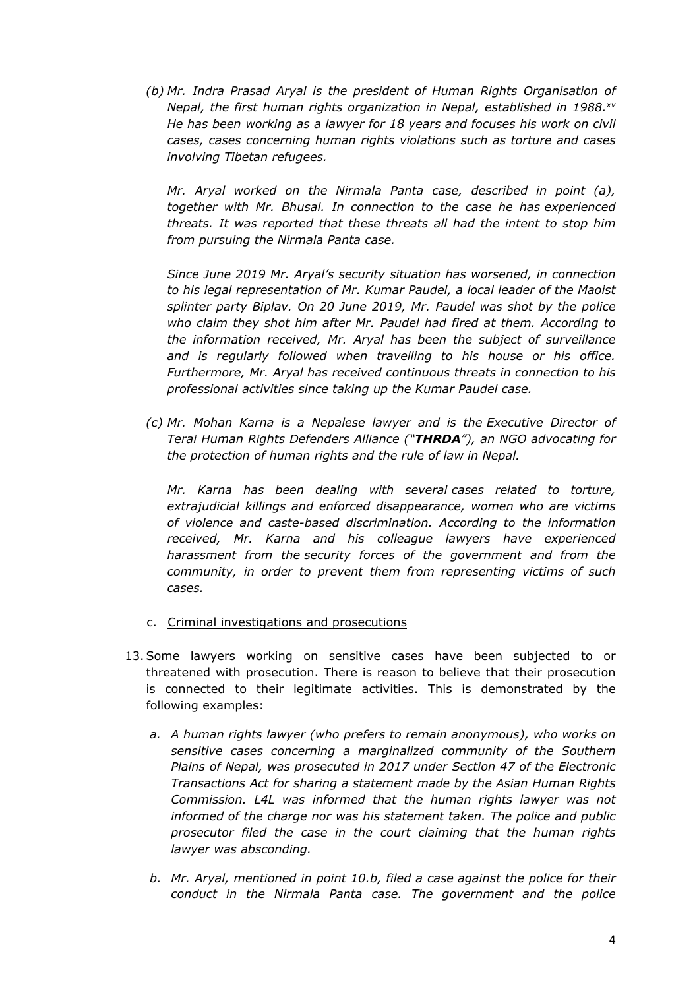*(b) Mr. Indra Prasad Aryal is the president of Human Rights Organisation of Nepal, the first human rights organization in Nepal, established in 1988. xv He has been working as <sup>a</sup> lawyer for 18 years and focuses his work on civil cases, cases concerning human rights violations such as torture and cases involving Tibetan refugees.*

*Mr. Aryal worked on the Nirmala Panta case, described in point (a), together with Mr. Bhusal. In connection to the case he has experienced threats. It was reported that these threats all had the intent to stop him from pursuing the Nirmala Panta case.*

*Since June 2019 Mr. Aryal'<sup>s</sup> security situation has worsened, in connection to his legal representation of Mr. Kumar Paudel, <sup>a</sup> local leader of the Maoist splinter party Biplav. On 20 June 2019, Mr. Paudel was shot by the police who claim they shot him after Mr. Paudel had fired at them. According to the information received, Mr. Aryal has been the subject of surveillance and is regularly followed when travelling to his house or his office. Furthermore, Mr. Aryal has received continuous threats in connection to his professional activities since taking up the Kumar Paudel case.*

*(c) Mr. Mohan Karna is <sup>a</sup> Nepalese lawyer and is the Executive Director of Terai Human Rights Defenders Alliance ("THRDA"), an NGO advocating for the protection of human rights and the rule of law in Nepal.*

CONCEPT *Mr. Karna has been dealing with several cases related to torture, extrajudicial killings and enforced disappearance, women who are victims of violence and caste-based discrimination. According to the information received, Mr. Karna and his colleague lawyers have experienced harassment from the security forces of the government and from the community, in order to prevent them from representing victims of such cases.*

- c. Criminal investigations and prosecutions
- 13.Some lawyers working on sensitive cases have been subjected to or threatened with prosecution. There is reason to believe that their prosecution is connected to their legitimate activities. This is demonstrated by the following examples:
	- *a. A human rights lawyer (who prefers to remain anonymous), who works on sensitive cases concerning <sup>a</sup> marginalized community of the Southern Plains of Nepal, was prosecuted in 2017 under Section 47 of the Electronic Transactions Act for sharing <sup>a</sup> statement made by the Asian Human Rights Commission. L4L was informed that the human rights lawyer was not informed of the charge nor was his statement taken. The police and public prosecutor filed the case in the court claiming that the human rights lawyer was absconding.*
	- *b. Mr. Aryal, mentioned in point 10.b, filed <sup>a</sup> case against the police for their conduct in the Nirmala Panta case. The government and the police*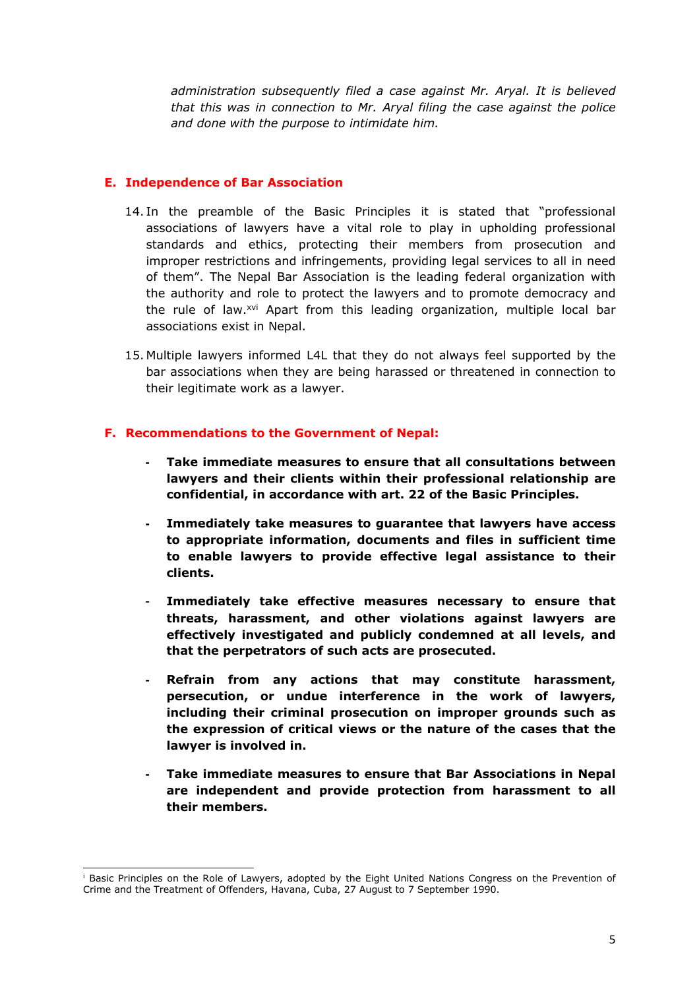*administration subsequently filed <sup>a</sup> case against Mr. Aryal. It is believed that this was in connection to Mr. Aryal filing the case against the police and done with the purpose to intimidate him.*

### **E. Independence of Bar Association**

- 14. In the preamble of the Basic Principles it is stated that "professional associations of lawyers have <sup>a</sup> vital role to play in upholding professional standards and ethics, protecting their members from prosecution and improper restrictions and infringements, providing legal services to all in need of them". The Nepal Bar Association is the leading federal organization with the authority and role to protect the lawyers and to promote democracy and the rule of law.<sup>xvi</sup> Apart from this leading organization, multiple local bar associations exist in Nepal.
- 15. Multiple lawyers informed L4L that they do not always feel supported by the bar associations when they are being harassed or threatened in connection to their legitimate work as <sup>a</sup> lawyer.

#### **F. Recommendations to the Government of Nepal:**

- CONCEPT **confidential, in accordance with art. 22 of the Basic Principles. Take immediate measures to ensure that all consultations between lawyers and their clients within their professional relationship are**
- **- Immediately take measures to guarantee that lawyers have access to appropriate information, documents and files in sufficient time to enable lawyers to provide effective legal assistance to their clients.**
- - **Immediately take effective measures necessary to ensure that threats, harassment, and other violations against lawyers are effectively investigated and publicly condemned at all levels, and that the perpetrators of such acts are prosecuted.**
- **- Refrain from any actions that may constitute harassment, persecution, or undue interference in the work of lawyers, including their criminal prosecution on improper grounds such as the expression of critical views or the nature of the cases that the lawyer is involved in.**
- **Take immediate measures to ensure that Bar Associations in Nepal are independent and provide protection from harassment to all their members.**

<sup>&</sup>lt;sup>i</sup> Basic Principles on the Role of Lawyers, adopted by the Eight United Nations Congress on the Prevention of Crime and the Treatment of Offenders, Havana, Cuba, 27 August to 7 September 1990.